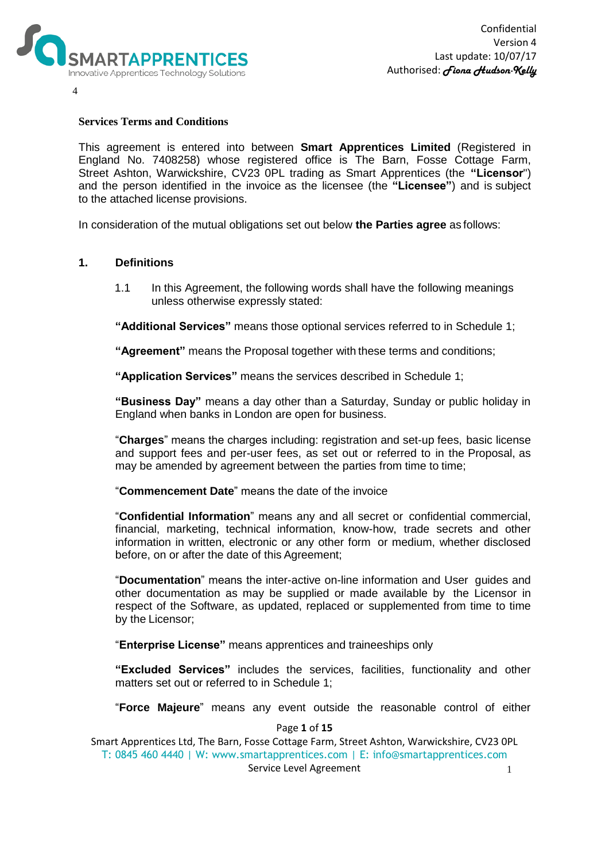

4

## **Services Terms and Conditions**

This agreement is entered into between **Smart Apprentices Limited** (Registered in England No. 7408258) whose registered office is The Barn, Fosse Cottage Farm, Street Ashton, Warwickshire, CV23 0PL trading as Smart Apprentices (the **"Licensor**") and the person identified in the invoice as the licensee (the **"Licensee"**) and is subject to the attached license provisions.

In consideration of the mutual obligations set out below **the Parties agree** as follows:

## **1. Definitions**

1.1 In this Agreement, the following words shall have the following meanings unless otherwise expressly stated:

**"Additional Services"** means those optional services referred to in Schedule 1;

**"Agreement"** means the Proposal together with these terms and conditions;

**"Application Services"** means the services described in Schedule 1;

**"Business Day"** means a day other than a Saturday, Sunday or public holiday in England when banks in London are open for business.

"**Charges**" means the charges including: registration and set-up fees, basic license and support fees and per-user fees, as set out or referred to in the Proposal, as may be amended by agreement between the parties from time to time;

"**Commencement Date**" means the date of the invoice

"**Confidential Information**" means any and all secret or confidential commercial, financial, marketing, technical information, know-how, trade secrets and other information in written, electronic or any other form or medium, whether disclosed before, on or after the date of this Agreement;

"**Documentation**" means the inter-active on-line information and User guides and other documentation as may be supplied or made available by the Licensor in respect of the Software, as updated, replaced or supplemented from time to time by the Licensor;

"**Enterprise License"** means apprentices and traineeships only

**"Excluded Services"** includes the services, facilities, functionality and other matters set out or referred to in Schedule 1;

"**Force Majeure**" means any event outside the reasonable control of either

#### Page **1** of **15**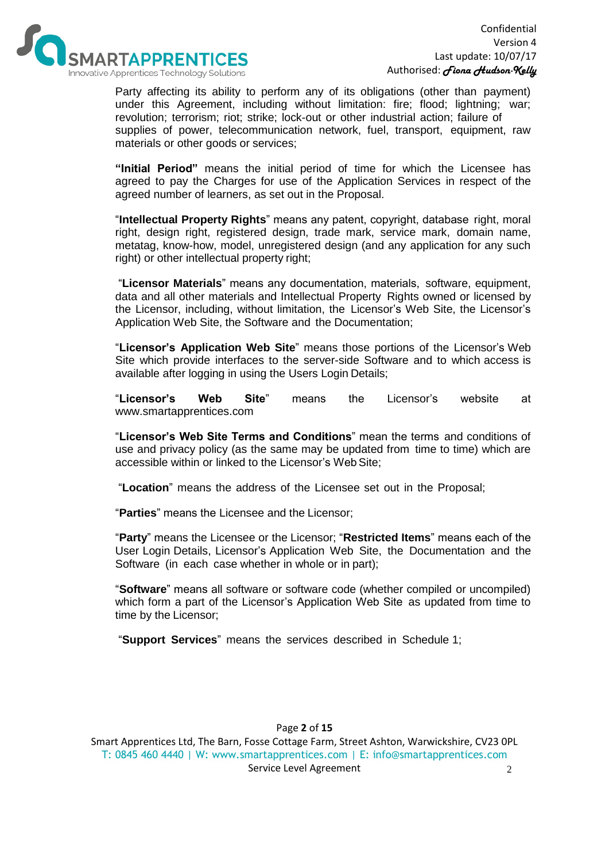

Party affecting its ability to perform any of its obligations (other than payment) under this Agreement, including without limitation: fire; flood; lightning; war; revolution; terrorism; riot; strike; lock-out or other industrial action; failure of supplies of power, telecommunication network, fuel, transport, equipment, raw materials or other goods or services;

**"Initial Period"** means the initial period of time for which the Licensee has agreed to pay the Charges for use of the Application Services in respect of the agreed number of learners, as set out in the Proposal.

"**Intellectual Property Rights**" means any patent, copyright, database right, moral right, design right, registered design, trade mark, service mark, domain name, metatag, know-how, model, unregistered design (and any application for any such right) or other intellectual property right;

"**Licensor Materials**" means any documentation, materials, software, equipment, data and all other materials and Intellectual Property Rights owned or licensed by the Licensor, including, without limitation, the Licensor's Web Site, the Licensor's Application Web Site, the Software and the Documentation;

"**Licensor's Application Web Site**" means those portions of the Licensor's Web Site which provide interfaces to the server-side Software and to which access is available after logging in using the Users Login Details;

"**Licensor's Web Site**" means the Licensor's website at www.smartapprentices.com

"**Licensor's Web Site Terms and Conditions**" mean the terms and conditions of use and privacy policy (as the same may be updated from time to time) which are accessible within or linked to the Licensor's Web Site:

"**Location**" means the address of the Licensee set out in the Proposal;

"**Parties**" means the Licensee and the Licensor;

"**Party**" means the Licensee or the Licensor; "**Restricted Items**" means each of the User Login Details, Licensor's Application Web Site, the Documentation and the Software (in each case whether in whole or in part);

"**Software**" means all software or software code (whether compiled or uncompiled) which form a part of the Licensor's Application Web Site as updated from time to time by the Licensor;

"**Support Services**" means the services described in Schedule 1;

# Page **2** of **15**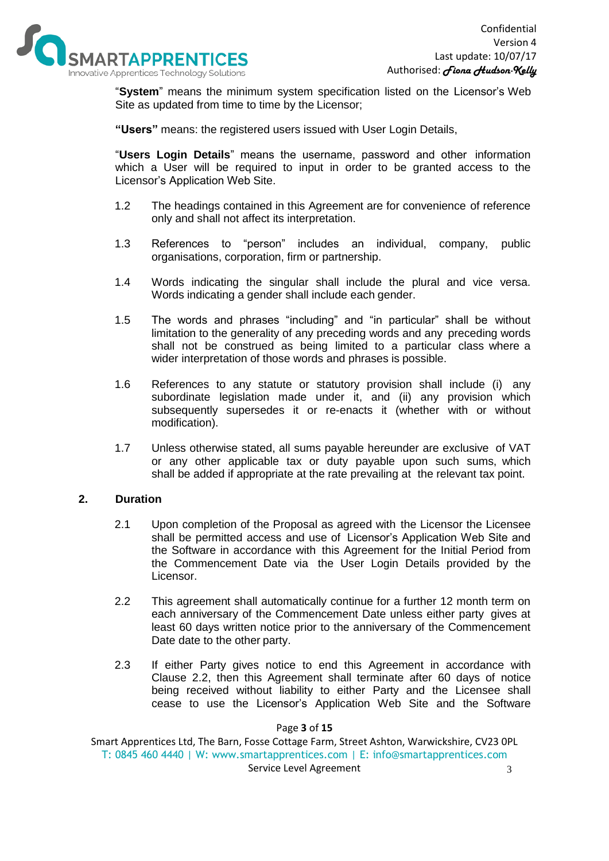

"**System**" means the minimum system specification listed on the Licensor's Web Site as updated from time to time by the Licensor;

**"Users"** means: the registered users issued with User Login Details,

"**Users Login Details**" means the username, password and other information which a User will be required to input in order to be granted access to the Licensor's Application Web Site.

- 1.2 The headings contained in this Agreement are for convenience of reference only and shall not affect its interpretation.
- 1.3 References to "person" includes an individual, company, public organisations, corporation, firm or partnership.
- 1.4 Words indicating the singular shall include the plural and vice versa. Words indicating a gender shall include each gender.
- 1.5 The words and phrases "including" and "in particular" shall be without limitation to the generality of any preceding words and any preceding words shall not be construed as being limited to a particular class where a wider interpretation of those words and phrases is possible.
- 1.6 References to any statute or statutory provision shall include (i) any subordinate legislation made under it, and (ii) any provision which subsequently supersedes it or re-enacts it (whether with or without modification).
- 1.7 Unless otherwise stated, all sums payable hereunder are exclusive of VAT or any other applicable tax or duty payable upon such sums, which shall be added if appropriate at the rate prevailing at the relevant tax point.

# **2. Duration**

- 2.1 Upon completion of the Proposal as agreed with the Licensor the Licensee shall be permitted access and use of Licensor's Application Web Site and the Software in accordance with this Agreement for the Initial Period from the Commencement Date via the User Login Details provided by the Licensor.
- 2.2 This agreement shall automatically continue for a further 12 month term on each anniversary of the Commencement Date unless either party gives at least 60 days written notice prior to the anniversary of the Commencement Date date to the other party.
- 2.3 If either Party gives notice to end this Agreement in accordance with Clause 2.2, then this Agreement shall terminate after 60 days of notice being received without liability to either Party and the Licensee shall cease to use the Licensor's Application Web Site and the Software

Page **3** of **15**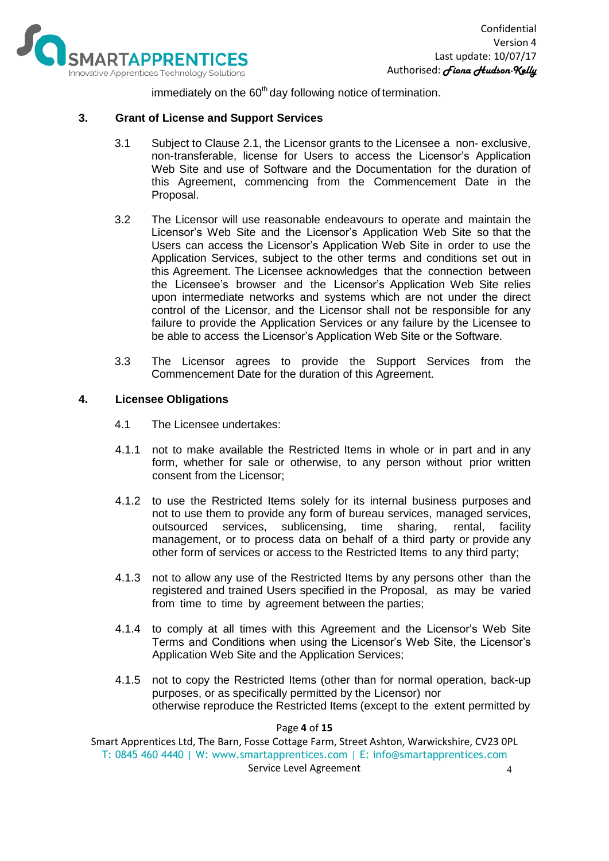

immediately on the  $60<sup>th</sup>$  day following notice of termination.

# **3. Grant of License and Support Services**

- 3.1 Subject to Clause 2.1, the Licensor grants to the Licensee a non- exclusive, non-transferable, license for Users to access the Licensor's Application Web Site and use of Software and the Documentation for the duration of this Agreement, commencing from the Commencement Date in the Proposal.
- 3.2 The Licensor will use reasonable endeavours to operate and maintain the Licensor's Web Site and the Licensor's Application Web Site so that the Users can access the Licensor's Application Web Site in order to use the Application Services, subject to the other terms and conditions set out in this Agreement. The Licensee acknowledges that the connection between the Licensee's browser and the Licensor's Application Web Site relies upon intermediate networks and systems which are not under the direct control of the Licensor, and the Licensor shall not be responsible for any failure to provide the Application Services or any failure by the Licensee to be able to access the Licensor's Application Web Site or the Software.
- 3.3 The Licensor agrees to provide the Support Services from the Commencement Date for the duration of this Agreement.

## **4. Licensee Obligations**

- 4.1 The Licensee undertakes:
- 4.1.1 not to make available the Restricted Items in whole or in part and in any form, whether for sale or otherwise, to any person without prior written consent from the Licensor;
- 4.1.2 to use the Restricted Items solely for its internal business purposes and not to use them to provide any form of bureau services, managed services, outsourced services, sublicensing, time sharing, rental, facility management, or to process data on behalf of a third party or provide any other form of services or access to the Restricted Items to any third party;
- 4.1.3 not to allow any use of the Restricted Items by any persons other than the registered and trained Users specified in the Proposal, as may be varied from time to time by agreement between the parties;
- 4.1.4 to comply at all times with this Agreement and the Licensor's Web Site Terms and Conditions when using the Licensor's Web Site, the Licensor's Application Web Site and the Application Services;
- 4.1.5 not to copy the Restricted Items (other than for normal operation, back-up purposes, or as specifically permitted by the Licensor) nor otherwise reproduce the Restricted Items (except to the extent permitted by

Page **4** of **15**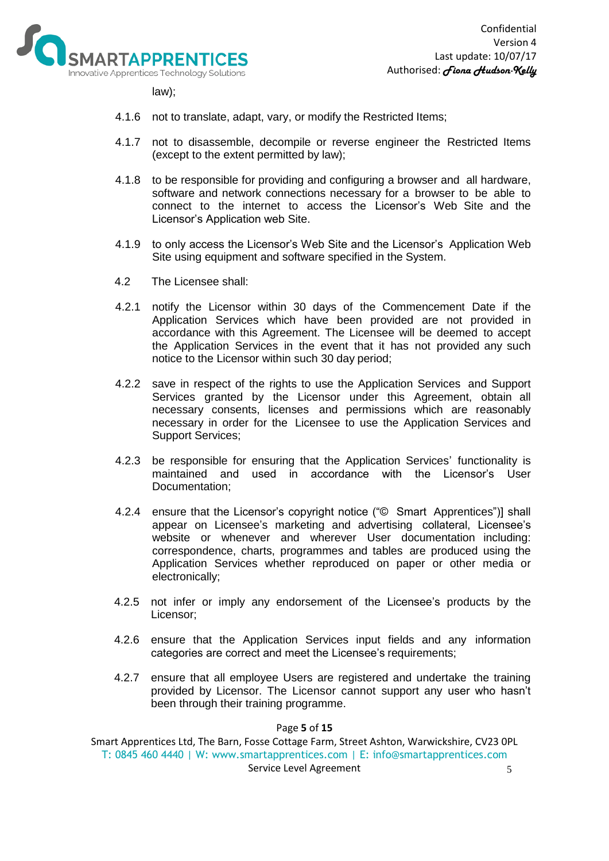

law);

- 4.1.6 not to translate, adapt, vary, or modify the Restricted Items;
- 4.1.7 not to disassemble, decompile or reverse engineer the Restricted Items (except to the extent permitted by law);
- 4.1.8 to be responsible for providing and configuring a browser and all hardware, software and network connections necessary for a browser to be able to connect to the internet to access the Licensor's Web Site and the Licensor's Application web Site.
- 4.1.9 to only access the Licensor's Web Site and the Licensor's Application Web Site using equipment and software specified in the System.
- 4.2 The Licensee shall:
- 4.2.1 notify the Licensor within 30 days of the Commencement Date if the Application Services which have been provided are not provided in accordance with this Agreement. The Licensee will be deemed to accept the Application Services in the event that it has not provided any such notice to the Licensor within such 30 day period;
- 4.2.2 save in respect of the rights to use the Application Services and Support Services granted by the Licensor under this Agreement, obtain all necessary consents, licenses and permissions which are reasonably necessary in order for the Licensee to use the Application Services and Support Services;
- 4.2.3 be responsible for ensuring that the Application Services' functionality is maintained and used in accordance with the Licensor's User Documentation;
- 4.2.4 ensure that the Licensor's copyright notice ("© Smart Apprentices")] shall appear on Licensee's marketing and advertising collateral, Licensee's website or whenever and wherever User documentation including: correspondence, charts, programmes and tables are produced using the Application Services whether reproduced on paper or other media or electronically;
- 4.2.5 not infer or imply any endorsement of the Licensee's products by the Licensor;
- 4.2.6 ensure that the Application Services input fields and any information categories are correct and meet the Licensee's requirements;
- 4.2.7 ensure that all employee Users are registered and undertake the training provided by Licensor. The Licensor cannot support any user who hasn't been through their training programme.

#### Page **5** of **15**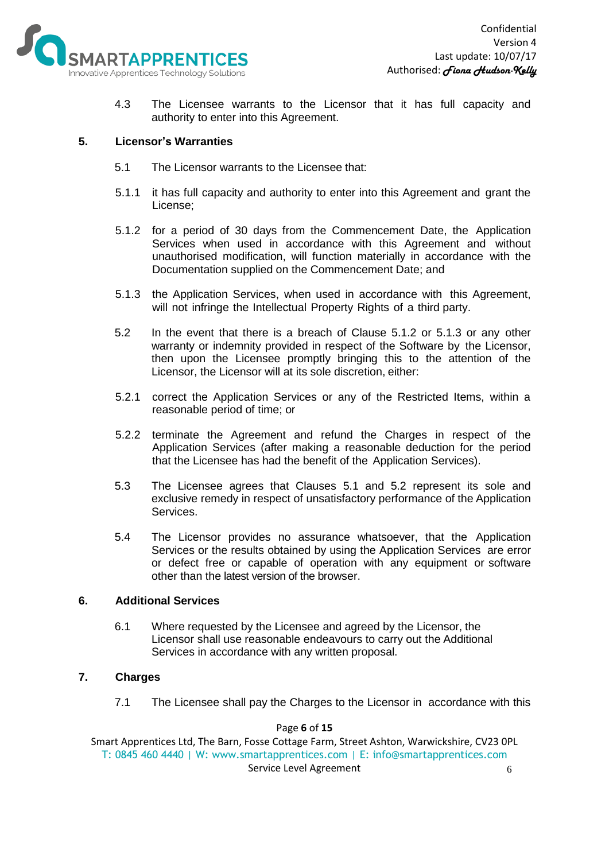

4.3 The Licensee warrants to the Licensor that it has full capacity and authority to enter into this Agreement.

# **5. Licensor's Warranties**

- 5.1 The Licensor warrants to the Licensee that:
- 5.1.1 it has full capacity and authority to enter into this Agreement and grant the License;
- 5.1.2 for a period of 30 days from the Commencement Date, the Application Services when used in accordance with this Agreement and without unauthorised modification, will function materially in accordance with the Documentation supplied on the Commencement Date; and
- 5.1.3 the Application Services, when used in accordance with this Agreement, will not infringe the Intellectual Property Rights of a third party.
- 5.2 In the event that there is a breach of Clause 5.1.2 or 5.1.3 or any other warranty or indemnity provided in respect of the Software by the Licensor, then upon the Licensee promptly bringing this to the attention of the Licensor, the Licensor will at its sole discretion, either:
- 5.2.1 correct the Application Services or any of the Restricted Items, within a reasonable period of time; or
- 5.2.2 terminate the Agreement and refund the Charges in respect of the Application Services (after making a reasonable deduction for the period that the Licensee has had the benefit of the Application Services).
- 5.3 The Licensee agrees that Clauses 5.1 and 5.2 represent its sole and exclusive remedy in respect of unsatisfactory performance of the Application Services.
- 5.4 The Licensor provides no assurance whatsoever, that the Application Services or the results obtained by using the Application Services are error or defect free or capable of operation with any equipment or software other than the latest version of the browser.

## **6. Additional Services**

6.1 Where requested by the Licensee and agreed by the Licensor, the Licensor shall use reasonable endeavours to carry out the Additional Services in accordance with any written proposal.

# **7. Charges**

7.1 The Licensee shall pay the Charges to the Licensor in accordance with this

### Page **6** of **15**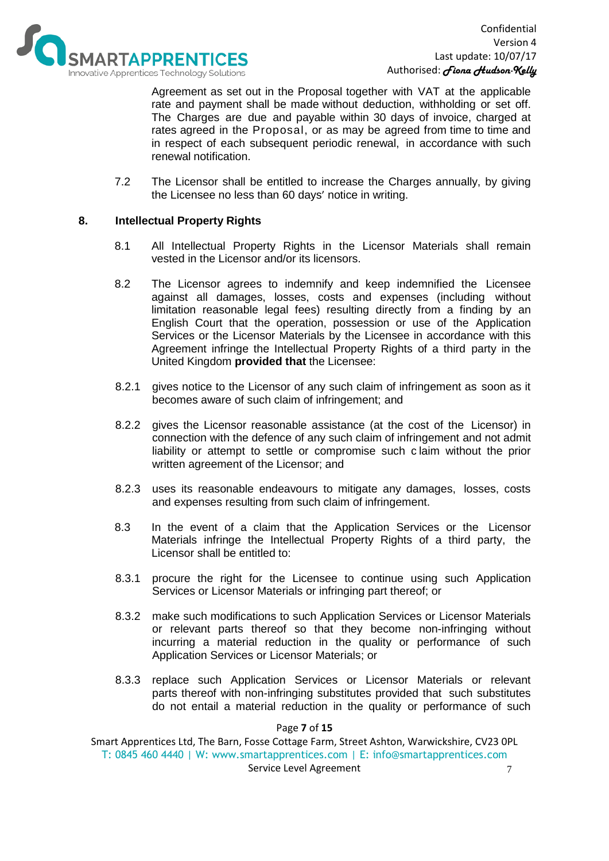

Agreement as set out in the Proposal together with VAT at the applicable rate and payment shall be made without deduction, withholding or set off. The Charges are due and payable within 30 days of invoice, charged at rates agreed in the Proposal, or as may be agreed from time to time and in respect of each subsequent periodic renewal, in accordance with such renewal notification.

7.2 The Licensor shall be entitled to increase the Charges annually, by giving the Licensee no less than 60 days' notice in writing.

# **8. Intellectual Property Rights**

- 8.1 All Intellectual Property Rights in the Licensor Materials shall remain vested in the Licensor and/or its licensors.
- 8.2 The Licensor agrees to indemnify and keep indemnified the Licensee against all damages, losses, costs and expenses (including without limitation reasonable legal fees) resulting directly from a finding by an English Court that the operation, possession or use of the Application Services or the Licensor Materials by the Licensee in accordance with this Agreement infringe the Intellectual Property Rights of a third party in the United Kingdom **provided that** the Licensee:
- 8.2.1 gives notice to the Licensor of any such claim of infringement as soon as it becomes aware of such claim of infringement; and
- 8.2.2 gives the Licensor reasonable assistance (at the cost of the Licensor) in connection with the defence of any such claim of infringement and not admit liability or attempt to settle or compromise such c laim without the prior written agreement of the Licensor; and
- 8.2.3 uses its reasonable endeavours to mitigate any damages, losses, costs and expenses resulting from such claim of infringement.
- 8.3 In the event of a claim that the Application Services or the Licensor Materials infringe the Intellectual Property Rights of a third party, the Licensor shall be entitled to:
- 8.3.1 procure the right for the Licensee to continue using such Application Services or Licensor Materials or infringing part thereof; or
- 8.3.2 make such modifications to such Application Services or Licensor Materials or relevant parts thereof so that they become non-infringing without incurring a material reduction in the quality or performance of such Application Services or Licensor Materials; or
- 8.3.3 replace such Application Services or Licensor Materials or relevant parts thereof with non-infringing substitutes provided that such substitutes do not entail a material reduction in the quality or performance of such

Page **7** of **15**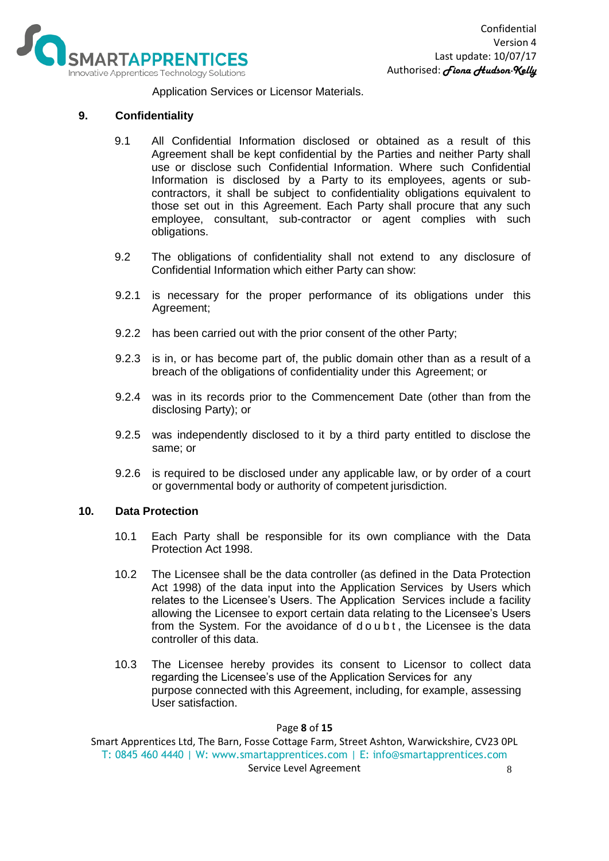

Application Services or Licensor Materials.

# **9. Confidentiality**

- 9.1 All Confidential Information disclosed or obtained as a result of this Agreement shall be kept confidential by the Parties and neither Party shall use or disclose such Confidential Information. Where such Confidential Information is disclosed by a Party to its employees, agents or subcontractors, it shall be subject to confidentiality obligations equivalent to those set out in this Agreement. Each Party shall procure that any such employee, consultant, sub-contractor or agent complies with such obligations.
- 9.2 The obligations of confidentiality shall not extend to any disclosure of Confidential Information which either Party can show:
- 9.2.1 is necessary for the proper performance of its obligations under this Agreement;
- 9.2.2 has been carried out with the prior consent of the other Party;
- 9.2.3 is in, or has become part of, the public domain other than as a result of a breach of the obligations of confidentiality under this Agreement; or
- 9.2.4 was in its records prior to the Commencement Date (other than from the disclosing Party); or
- 9.2.5 was independently disclosed to it by a third party entitled to disclose the same; or
- 9.2.6 is required to be disclosed under any applicable law, or by order of a court or governmental body or authority of competent jurisdiction.

### **10. Data Protection**

- 10.1 Each Party shall be responsible for its own compliance with the Data Protection Act 1998.
- 10.2 The Licensee shall be the data controller (as defined in the Data Protection Act 1998) of the data input into the Application Services by Users which relates to the Licensee's Users. The Application Services include a facility allowing the Licensee to export certain data relating to the Licensee's Users from the System. For the avoidance of d o u b t, the Licensee is the data controller of this data.
- 10.3 The Licensee hereby provides its consent to Licensor to collect data regarding the Licensee's use of the Application Services for any purpose connected with this Agreement, including, for example, assessing User satisfaction.

### Page **8** of **15**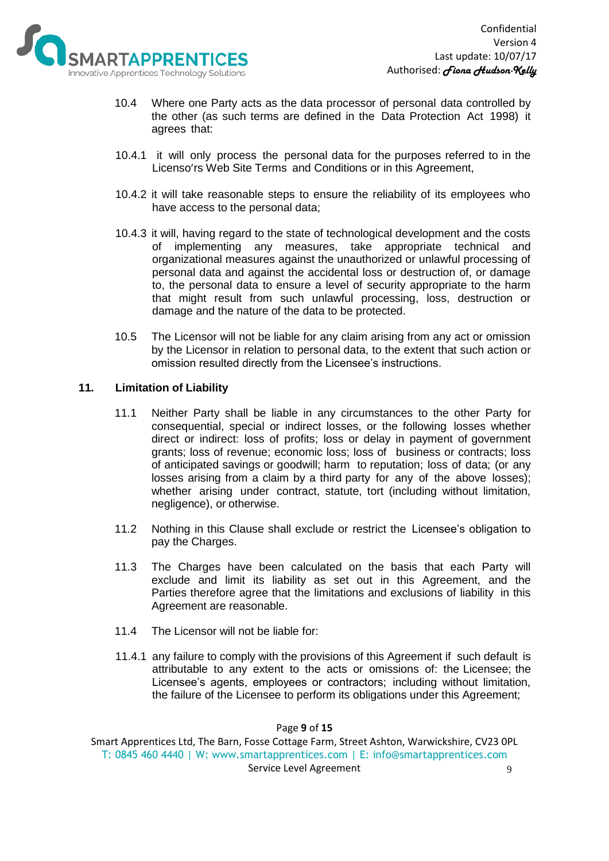

- 10.4 Where one Party acts as the data processor of personal data controlled by the other (as such terms are defined in the Data Protection Act 1998) it agrees that:
- 10.4.1 it will only process the personal data for the purposes referred to in the Licenso'rs Web Site Terms and Conditions or in this Agreement,
- 10.4.2 it will take reasonable steps to ensure the reliability of its employees who have access to the personal data;
- 10.4.3 it will, having regard to the state of technological development and the costs of implementing any measures, take appropriate technical and organizational measures against the unauthorized or unlawful processing of personal data and against the accidental loss or destruction of, or damage to, the personal data to ensure a level of security appropriate to the harm that might result from such unlawful processing, loss, destruction or damage and the nature of the data to be protected.
- 10.5 The Licensor will not be liable for any claim arising from any act or omission by the Licensor in relation to personal data, to the extent that such action or omission resulted directly from the Licensee's instructions.

## **11. Limitation of Liability**

- 11.1 Neither Party shall be liable in any circumstances to the other Party for consequential, special or indirect losses, or the following losses whether direct or indirect: loss of profits; loss or delay in payment of government grants; loss of revenue; economic loss; loss of business or contracts; loss of anticipated savings or goodwill; harm to reputation; loss of data; (or any losses arising from a claim by a third party for any of the above losses); whether arising under contract, statute, tort (including without limitation, negligence), or otherwise.
- 11.2 Nothing in this Clause shall exclude or restrict the Licensee's obligation to pay the Charges.
- 11.3 The Charges have been calculated on the basis that each Party will exclude and limit its liability as set out in this Agreement, and the Parties therefore agree that the limitations and exclusions of liability in this Agreement are reasonable.
- 11.4 The Licensor will not be liable for:
- 11.4.1 any failure to comply with the provisions of this Agreement if such default is attributable to any extent to the acts or omissions of: the Licensee; the Licensee's agents, employees or contractors; including without limitation, the failure of the Licensee to perform its obligations under this Agreement;

#### Page **9** of **15**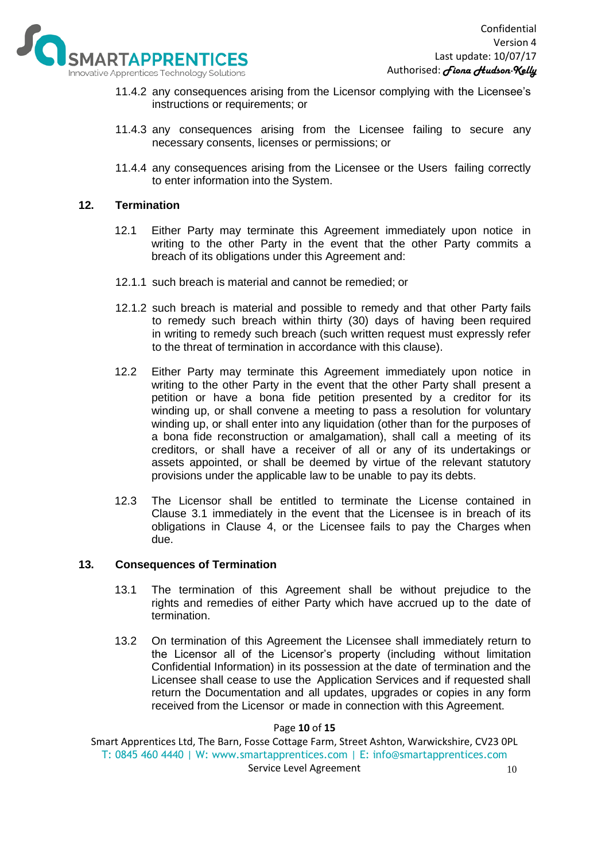

- 11.4.2 any consequences arising from the Licensor complying with the Licensee's instructions or requirements; or
- 11.4.3 any consequences arising from the Licensee failing to secure any necessary consents, licenses or permissions; or
- 11.4.4 any consequences arising from the Licensee or the Users failing correctly to enter information into the System.

## **12. Termination**

- 12.1 Either Party may terminate this Agreement immediately upon notice in writing to the other Party in the event that the other Party commits a breach of its obligations under this Agreement and:
- 12.1.1 such breach is material and cannot be remedied; or
- 12.1.2 such breach is material and possible to remedy and that other Party fails to remedy such breach within thirty (30) days of having been required in writing to remedy such breach (such written request must expressly refer to the threat of termination in accordance with this clause).
- 12.2 Either Party may terminate this Agreement immediately upon notice in writing to the other Party in the event that the other Party shall present a petition or have a bona fide petition presented by a creditor for its winding up, or shall convene a meeting to pass a resolution for voluntary winding up, or shall enter into any liquidation (other than for the purposes of a bona fide reconstruction or amalgamation), shall call a meeting of its creditors, or shall have a receiver of all or any of its undertakings or assets appointed, or shall be deemed by virtue of the relevant statutory provisions under the applicable law to be unable to pay its debts.
- 12.3 The Licensor shall be entitled to terminate the License contained in Clause 3.1 immediately in the event that the Licensee is in breach of its obligations in Clause 4, or the Licensee fails to pay the Charges when due.

### **13. Consequences of Termination**

- 13.1 The termination of this Agreement shall be without prejudice to the rights and remedies of either Party which have accrued up to the date of termination.
- 13.2 On termination of this Agreement the Licensee shall immediately return to the Licensor all of the Licensor's property (including without limitation Confidential Information) in its possession at the date of termination and the Licensee shall cease to use the Application Services and if requested shall return the Documentation and all updates, upgrades or copies in any form received from the Licensor or made in connection with this Agreement.

#### Page **10** of **15**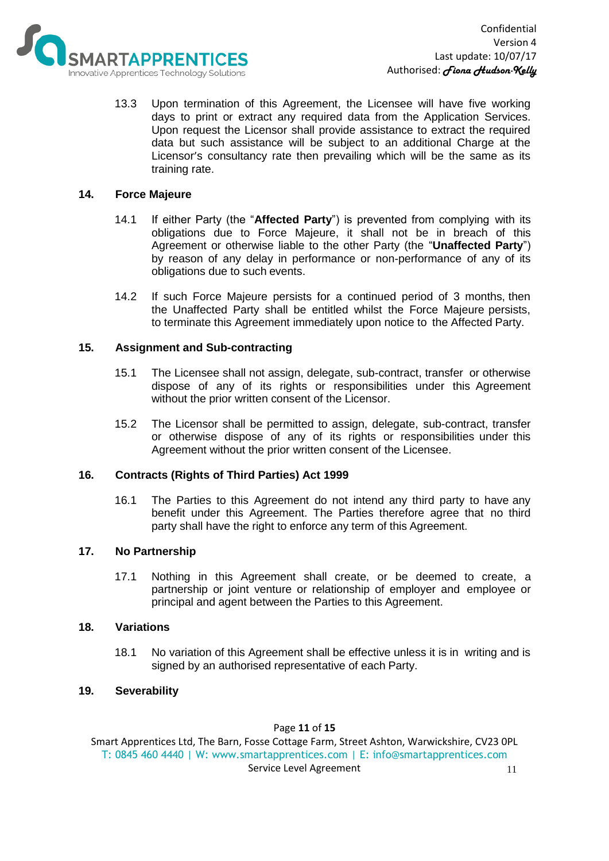

13.3 Upon termination of this Agreement, the Licensee will have five working days to print or extract any required data from the Application Services. Upon request the Licensor shall provide assistance to extract the required data but such assistance will be subject to an additional Charge at the Licensor's consultancy rate then prevailing which will be the same as its training rate.

# **14. Force Majeure**

- 14.1 If either Party (the "**Affected Party**") is prevented from complying with its obligations due to Force Majeure, it shall not be in breach of this Agreement or otherwise liable to the other Party (the "**Unaffected Party**") by reason of any delay in performance or non-performance of any of its obligations due to such events.
- 14.2 If such Force Majeure persists for a continued period of 3 months, then the Unaffected Party shall be entitled whilst the Force Majeure persists, to terminate this Agreement immediately upon notice to the Affected Party.

## **15. Assignment and Sub-contracting**

- 15.1 The Licensee shall not assign, delegate, sub-contract, transfer or otherwise dispose of any of its rights or responsibilities under this Agreement without the prior written consent of the Licensor.
- 15.2 The Licensor shall be permitted to assign, delegate, sub-contract, transfer or otherwise dispose of any of its rights or responsibilities under this Agreement without the prior written consent of the Licensee.

### **16. Contracts (Rights of Third Parties) Act 1999**

16.1 The Parties to this Agreement do not intend any third party to have any benefit under this Agreement. The Parties therefore agree that no third party shall have the right to enforce any term of this Agreement.

### **17. No Partnership**

17.1 Nothing in this Agreement shall create, or be deemed to create, a partnership or joint venture or relationship of employer and employee or principal and agent between the Parties to this Agreement.

# **18. Variations**

18.1 No variation of this Agreement shall be effective unless it is in writing and is signed by an authorised representative of each Party.

# **19. Severability**

### Page **11** of **15**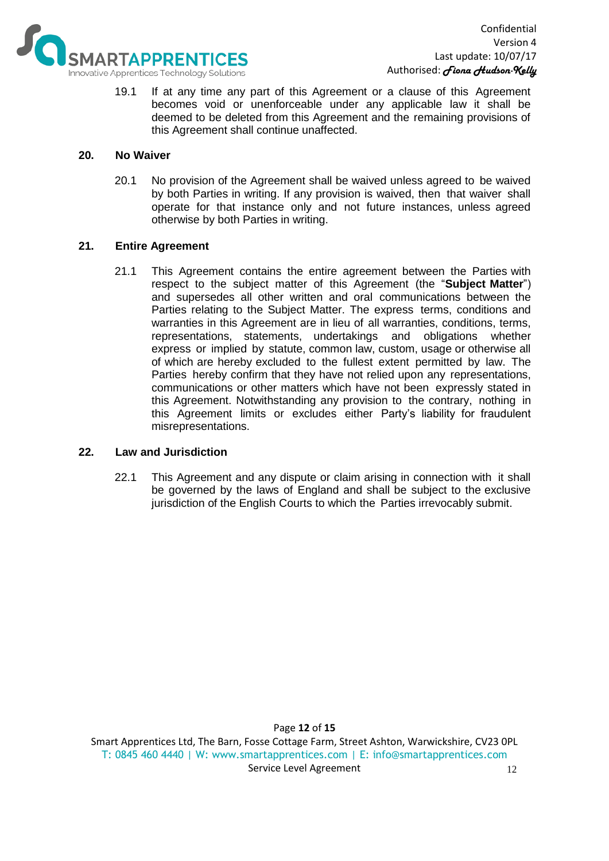

19.1 If at any time any part of this Agreement or a clause of this Agreement becomes void or unenforceable under any applicable law it shall be deemed to be deleted from this Agreement and the remaining provisions of this Agreement shall continue unaffected.

## **20. No Waiver**

20.1 No provision of the Agreement shall be waived unless agreed to be waived by both Parties in writing. If any provision is waived, then that waiver shall operate for that instance only and not future instances, unless agreed otherwise by both Parties in writing.

## **21. Entire Agreement**

21.1 This Agreement contains the entire agreement between the Parties with respect to the subject matter of this Agreement (the "**Subject Matter**") and supersedes all other written and oral communications between the Parties relating to the Subject Matter. The express terms, conditions and warranties in this Agreement are in lieu of all warranties, conditions, terms, representations, statements, undertakings and obligations whether express or implied by statute, common law, custom, usage or otherwise all of which are hereby excluded to the fullest extent permitted by law. The Parties hereby confirm that they have not relied upon any representations, communications or other matters which have not been expressly stated in this Agreement. Notwithstanding any provision to the contrary, nothing in this Agreement limits or excludes either Party's liability for fraudulent misrepresentations.

### **22. Law and Jurisdiction**

22.1 This Agreement and any dispute or claim arising in connection with it shall be governed by the laws of England and shall be subject to the exclusive jurisdiction of the English Courts to which the Parties irrevocably submit.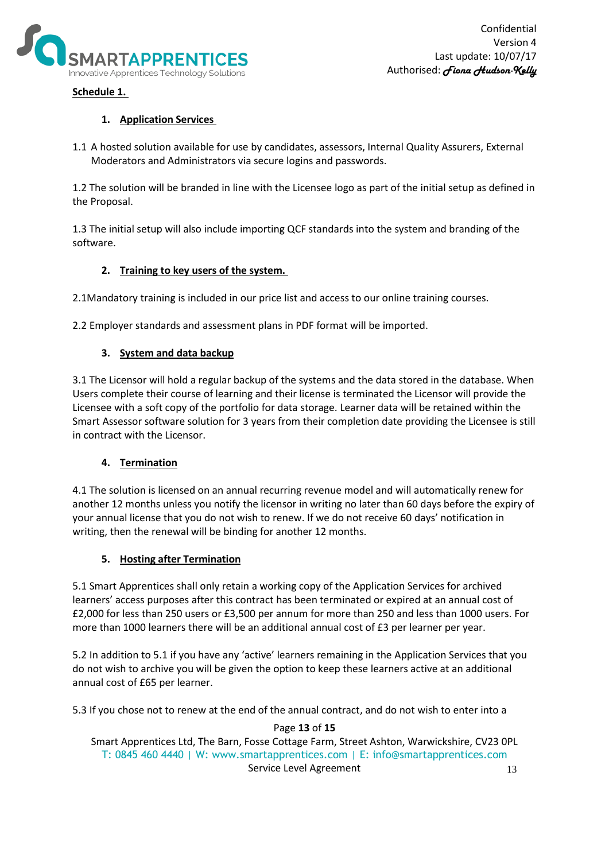

# **Schedule 1.**

# **1. Application Services**

1.1 A hosted solution available for use by candidates, assessors, Internal Quality Assurers, External Moderators and Administrators via secure logins and passwords.

1.2 The solution will be branded in line with the Licensee logo as part of the initial setup as defined in the Proposal.

1.3 The initial setup will also include importing QCF standards into the system and branding of the software.

# **2. Training to key users of the system.**

2.1Mandatory training is included in our price list and access to our online training courses.

2.2 Employer standards and assessment plans in PDF format will be imported.

# **3. System and data backup**

3.1 The Licensor will hold a regular backup of the systems and the data stored in the database. When Users complete their course of learning and their license is terminated the Licensor will provide the Licensee with a soft copy of the portfolio for data storage. Learner data will be retained within the Smart Assessor software solution for 3 years from their completion date providing the Licensee is still in contract with the Licensor.

# **4. Termination**

4.1 The solution is licensed on an annual recurring revenue model and will automatically renew for another 12 months unless you notify the licensor in writing no later than 60 days before the expiry of your annual license that you do not wish to renew. If we do not receive 60 days' notification in writing, then the renewal will be binding for another 12 months.

# **5. Hosting after Termination**

5.1 Smart Apprentices shall only retain a working copy of the Application Services for archived learners' access purposes after this contract has been terminated or expired at an annual cost of £2,000 for less than 250 users or £3,500 per annum for more than 250 and less than 1000 users. For more than 1000 learners there will be an additional annual cost of £3 per learner per year.

5.2 In addition to 5.1 if you have any 'active' learners remaining in the Application Services that you do not wish to archive you will be given the option to keep these learners active at an additional annual cost of £65 per learner.

5.3 If you chose not to renew at the end of the annual contract, and do not wish to enter into a

Page **13** of **15**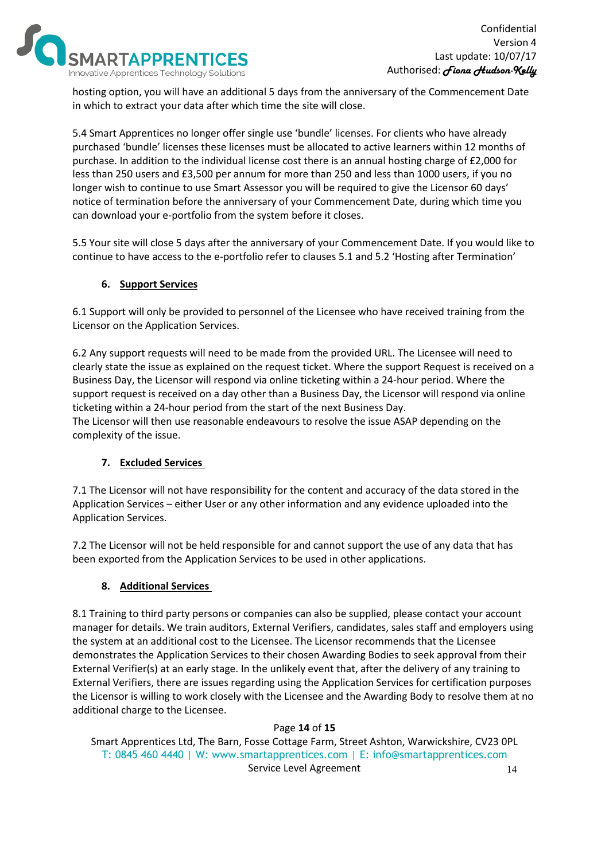

hosting option, you will have an additional 5 days from the anniversary of the Commencement Date in which to extract your data after which time the site will close.

5.4 Smart Apprentices no longer offer single use 'bundle' licenses. For clients who have already purchased 'bundle' licenses these licenses must be allocated to active learners within 12 months of purchase. In addition to the individual license cost there is an annual hosting charge of £2,000 for less than 250 users and £3,500 per annum for more than 250 and less than 1000 users, if you no longer wish to continue to use Smart Assessor you will be required to give the Licensor 60 days' notice of termination before the anniversary of your Commencement Date, during which time you can download your e-portfolio from the system before it closes.

5.5 Your site will close 5 days after the anniversary of your Commencement Date. If you would like to continue to have access to the e-portfolio refer to clauses 5.1 and 5.2 'Hosting after Termination'

# **6. Support Services**

6.1 Support will only be provided to personnel of the Licensee who have received training from the Licensor on the Application Services.

6.2 Any support requests will need to be made from the provided URL. The Licensee will need to clearly state the issue as explained on the request ticket. Where the support Request is received on a Business Day, the Licensor will respond via online ticketing within a 24-hour period. Where the support request is received on a day other than a Business Day, the Licensor will respond via online ticketing within a 24-hour period from the start of the next Business Day.

The Licensor will then use reasonable endeavours to resolve the issue ASAP depending on the complexity of the issue.

# **7. Excluded Services**

7.1 The Licensor will not have responsibility for the content and accuracy of the data stored in the Application Services – either User or any other information and any evidence uploaded into the Application Services.

7.2 The Licensor will not be held responsible for and cannot support the use of any data that has been exported from the Application Services to be used in other applications.

### **8. Additional Services**

8.1 Training to third party persons or companies can also be supplied, please contact your account manager for details. We train auditors, External Verifiers, candidates, sales staff and employers using the system at an additional cost to the Licensee. The Licensor recommends that the Licensee demonstrates the Application Services to their chosen Awarding Bodies to seek approval from their External Verifier(s) at an early stage. In the unlikely event that, after the delivery of any training to External Verifiers, there are issues regarding using the Application Services for certification purposes the Licensor is willing to work closely with the Licensee and the Awarding Body to resolve them at no additional charge to the Licensee.

### Page **14** of **15**